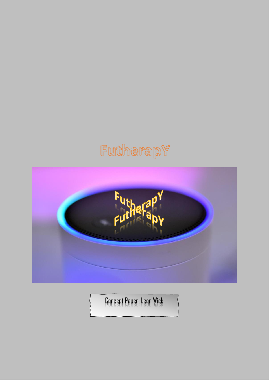# FutherapY



Concept Paper: Leon Wick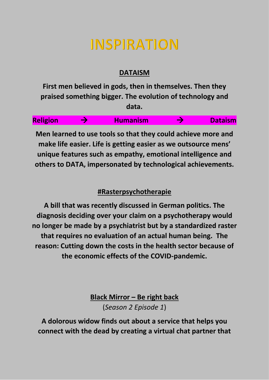## **INSPIRATION**

### **DATAISM**

**First men believed in gods, then in themselves. Then they praised something bigger. The evolution of technology and data.**



**Men learned to use tools so that they could achieve more and make life easier. Life is getting easier as we outsource mens' unique features such as empathy, emotional intelligence and others to DATA, impersonated by technological achievements.**

### **#Rasterpsychotherapie**

**A bill that was recently discussed in German politics. The diagnosis deciding over your claim on a psychotherapy would no longer be made by a psychiatrist but by a standardized raster that requires no evaluation of an actual human being. The reason: Cutting down the costs in the health sector because of the economic effects of the COVID-pandemic.**

> **Black Mirror – Be right back** (*Season 2 Episode 1*)

**A dolorous widow finds out about a service that helps you connect with the dead by creating a virtual chat partner that**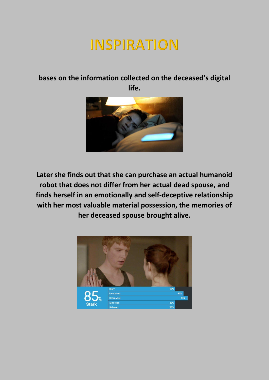## **INSPIRATION**

### **bases on the information collected on the deceased's digital life.**



**Later she finds out that she can purchase an actual humanoid robot that does not differ from her actual dead spouse, and finds herself in an emotionally and self-deceptive relationship with her most valuable material possession, the memories of her deceased spouse brought alive.**

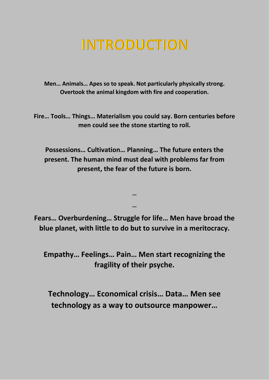## **INTRODUCTION**

**Men… Animals… Apes so to speak. Not particularly physically strong. Overtook the animal kingdom with fire and cooperation.**

**Fire… Tools… Things… Materialism you could say. Born centuries before men could see the stone starting to roll.**

**Possessions… Cultivation… Planning… The future enters the present. The human mind must deal with problems far from present, the fear of the future is born.**

**Fears… Overburdening… Struggle for life… Men have broad the blue planet, with little to do but to survive in a meritocracy.**

**…**

**…**

**Empathy… Feelings… Pain… Men start recognizing the fragility of their psyche.**

**Technology… Economical crisis… Data… Men see technology as a way to outsource manpower…**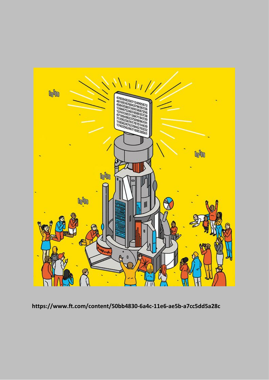

https://www.ft.com/content/50bb4830-6a4c-11e6-ae5b-a7cc5dd5a28c